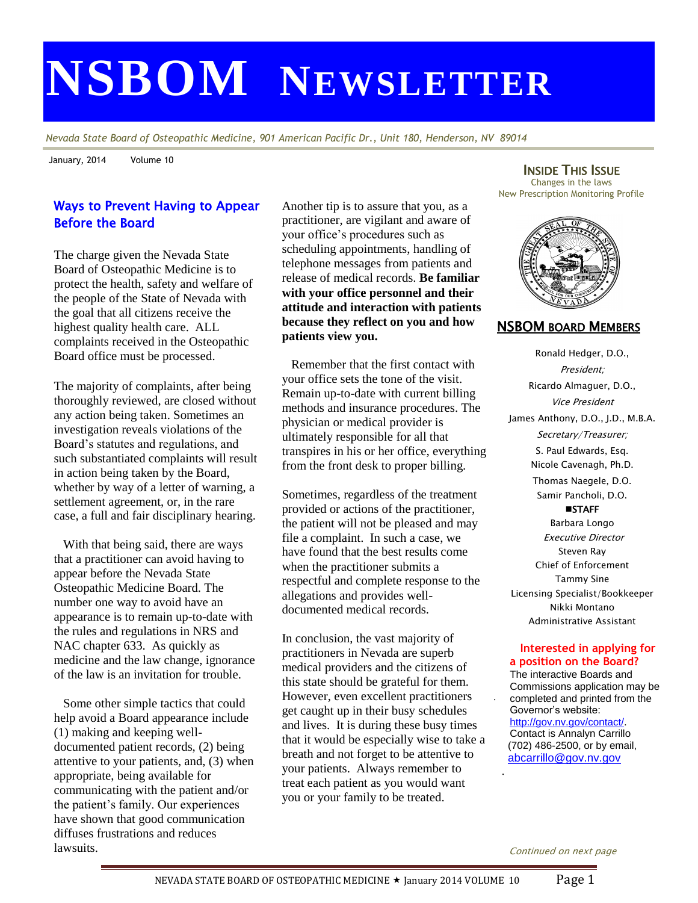# **NSBOM NEWSLETTER**

*Nevada State Board of Osteopathic Medicine, 901 American Pacific Dr., Unit 180, Henderson, NV 89014*

January, 2014 Volume 10

## Ways to Prevent Having to Appear Before the Board

The charge given the Nevada State Board of Osteopathic Medicine is to protect the health, safety and welfare of the people of the State of Nevada with the goal that all citizens receive the highest quality health care. ALL complaints received in the Osteopathic Board office must be processed.

The majority of complaints, after being thoroughly reviewed, are closed without any action being taken. Sometimes an investigation reveals violations of the Board's statutes and regulations, and such substantiated complaints will result in action being taken by the Board, whether by way of a letter of warning, a settlement agreement, or, in the rare case, a full and fair disciplinary hearing.

 With that being said, there are ways that a practitioner can avoid having to appear before the Nevada State Osteopathic Medicine Board. The number one way to avoid have an appearance is to remain up-to-date with the rules and regulations in NRS and NAC chapter 633. As quickly as medicine and the law change, ignorance of the law is an invitation for trouble.

 Some other simple tactics that could help avoid a Board appearance include (1) making and keeping welldocumented patient records, (2) being attentive to your patients, and, (3) when appropriate, being available for communicating with the patient and/or the patient's family. Our experiences have shown that good communication diffuses frustrations and reduces lawsuits.

Another tip is to assure that you, as a practitioner, are vigilant and aware of your office's procedures such as scheduling appointments, handling of telephone messages from patients and release of medical records. **Be familiar with your office personnel and their attitude and interaction with patients because they reflect on you and how patients view you.** 

 Remember that the first contact with your office sets the tone of the visit. Remain up-to-date with current billing methods and insurance procedures. The physician or medical provider is ultimately responsible for all that transpires in his or her office, everything from the front desk to proper billing.

Sometimes, regardless of the treatment provided or actions of the practitioner, the patient will not be pleased and may file a complaint. In such a case, we have found that the best results come when the practitioner submits a respectful and complete response to the allegations and provides welldocumented medical records.

In conclusion, the vast majority of practitioners in Nevada are superb medical providers and the citizens of this state should be grateful for them. However, even excellent practitioners get caught up in their busy schedules and lives. It is during these busy times that it would be especially wise to take a breath and not forget to be attentive to your patients. Always remember to treat each patient as you would want you or your family to be treated.

INSIDE THIS ISSUE Changes in the laws New Prescription Monitoring Profile



## NSBOM BOARD MEMBERS

Ronald Hedger, D.O., President; Ricardo Almaguer, D.O., Vice President James Anthony, D.O., J.D., M.B.A. Secretary/Treasurer; S. Paul Edwards, Esq. Nicole Cavenagh, Ph.D. Thomas Naegele, D.O. Samir Pancholi, D.O. **STAFF** Barbara Longo Executive Director Steven Ray Chief of Enforcement

Tammy Sine Licensing Specialist/Bookkeeper Nikki Montano Administrative Assistant

#### **Interested in applying for a position on the Board?**

The interactive Boards and Commissions application may be completed and printed from the Governor's website: [http://gov.nv.gov/contact/.](http://gov.nv.gov/contact/) Contact is Annalyn Carrillo (702) 486-2500, or by email, [abcarrillo@gov.nv.gov](mailto:abcarrillo@gov.nv.gov)

.

.

Continued on next page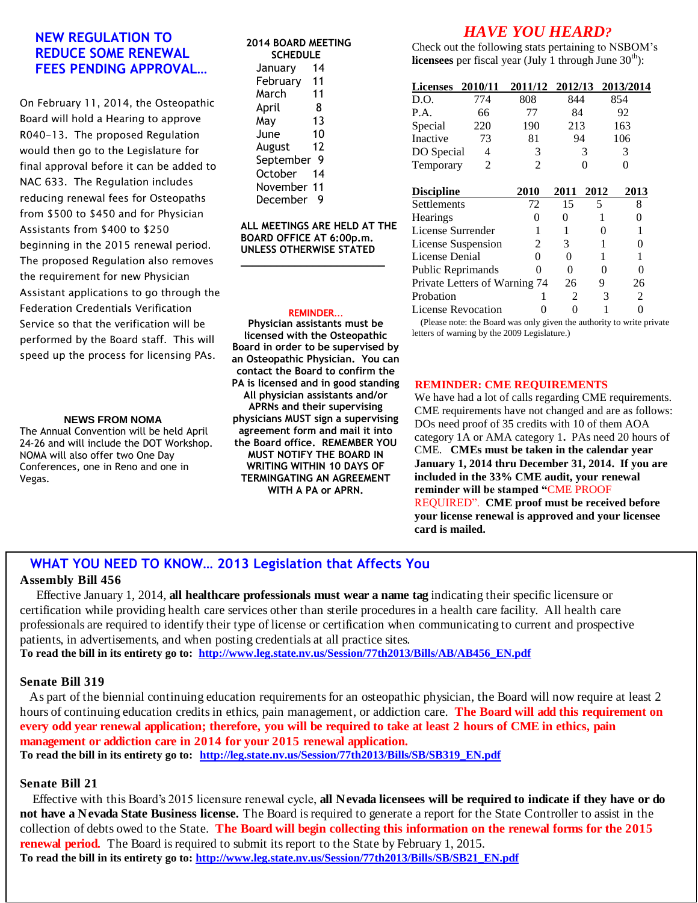## **NEW REGULATION TO REDUCE SOME RENEWAL FEES PENDING APPROVAL…**

On February 11, 2014, the Osteopathic Board will hold a Hearing to approve R040-13. The proposed Regulation would then go to the Legislature for final approval before it can be added to NAC 633. The Regulation includes reducing renewal fees for Osteopaths from \$500 to \$450 and for Physician Assistants from \$400 to \$250 beginning in the 2015 renewal period. The proposed Regulation also removes the requirement for new Physician Assistant applications to go through the Federation Credentials Verification Service so that the verification will be performed by the Board staff. This will speed up the process for licensing PAs.

#### **NEWS FROM NOMA**

The Annual Convention will be held April 24-26 and will include the DOT Workshop. NOMA will also offer two One Day Conferences, one in Reno and one in Vegas.

#### **2014 BOARD MEETING SCHEDULE**

| January     | 14 |  |  |  |  |
|-------------|----|--|--|--|--|
| February    | 11 |  |  |  |  |
| March       | 11 |  |  |  |  |
| April       | 8  |  |  |  |  |
| May         | 13 |  |  |  |  |
| June        | 10 |  |  |  |  |
| August      | 12 |  |  |  |  |
| September   | Q  |  |  |  |  |
| October     | 14 |  |  |  |  |
| November 11 |    |  |  |  |  |
| December    | g  |  |  |  |  |

**ALL MEETINGS ARE HELD AT THE BOARD OFFICE AT 6:00p.m. UNLESS OTHERWISE STATED**

#### REMINDER…

**\_\_\_\_\_\_\_\_\_\_\_\_\_\_\_\_\_\_\_\_\_\_\_\_**

**Physician assistants must be licensed with the Osteopathic Board in order to be supervised by an Osteopathic Physician. You can contact the Board to confirm the PA is licensed and in good standing All physician assistants and/or APRNs and their supervising physicians MUST sign a supervising agreement form and mail it into the Board office. REMEMBER YOU MUST NOTIFY THE BOARD IN WRITING WITHIN 10 DAYS OF TERMINGATING AN AGREEMENT WITH A PA or APRN.**

## *HAVE YOU HEARD?*

Check out the following stats pertaining to NSBOM's **licensees** per fiscal year (July 1 through June  $30<sup>th</sup>$ ):

| <b>Licenses</b>               | 2010/11 | 2011/12        | 2012/13  |      | 2013/2014 |  |
|-------------------------------|---------|----------------|----------|------|-----------|--|
| D.O.                          | 774     | 808            | 844      |      | 854       |  |
| P.A.                          | 66      | 77             | 84       |      | 92        |  |
| Special                       | 220     | 190            | 213      |      | 163       |  |
| Inactive                      | 73      | 81             | 94       |      | 106       |  |
| DO Special                    | 4       | 3              |          | 3    | 3         |  |
| Temporary                     | 2       | $\mathfrak{D}$ |          | 0    | 0         |  |
|                               |         |                |          |      |           |  |
| <b>Discipline</b>             |         | <b>2010</b>    | 2011     | 2012 | 2013      |  |
| Settlements                   |         | 72             | 15       | 5    | 8         |  |
| <b>Hearings</b>               |         | 0              | 0        |      | 0         |  |
| License Surrender             |         |                | 1        |      |           |  |
| License Suspension            |         | 2              | 3        |      | 0         |  |
| License Denial                |         | 0              | 0        |      | 1         |  |
| Public Reprimands             |         |                | $\Omega$ |      | 0         |  |
| Private Letters of Warning 74 |         | 26             | 9        | 26   |           |  |
| Probation                     |         |                | 2        | 3    | 2         |  |
| License Revocation            |         |                |          |      |           |  |

 (Please note: the Board was only given the authority to write private letters of warning by the 2009 Legislature.)

## **REMINDER: CME REQUIREMENTS**

We have had a lot of calls regarding CME requirements. CME requirements have not changed and are as follows: DOs need proof of 35 credits with 10 of them AOA category 1A or AMA category 1**.** PAs need 20 hours of CME. **CMEs must be taken in the calendar year January 1, 2014 thru December 31, 2014. If you are included in the 33% CME audit, your renewal reminder will be stamped "**CME PROOF REQUIRED". **CME proof must be received before your license renewal is approved and your licensee card is mailed.**

# **WHAT YOU NEED TO KNOW… 2013 Legislation that Affects You**

### **Assembly Bill 456**

Effective January 1, 2014, **all healthcare professionals must wear a name tag** indicating their specific licensure or certification while providing health care services other than sterile procedures in a health care facility. All health care professionals are required to identify their type of license or certification when communicating to current and prospective patients, in advertisements, and when posting credentials at all practice sites. **To read the bill in its entirety go to: [http://www.leg.state.nv.us/Session/77th2013/Bills/AB/AB456\\_EN.pdf](http://www.leg.state.nv.us/Session/77th2013/Bills/AB/AB456_EN.pdf)**

#### **Senate Bill 319**

 As part of the biennial continuing education requirements for an osteopathic physician, the Board will now require at least 2 hours of continuing education credits in ethics, pain management, or addiction care. **The Board will add this requirement on every odd year renewal application; therefore, you will be required to take at least 2 hours of CME in ethics, pain management or addiction care in 2014 for your 2015 renewal application. To read the bill in its entirety go to: [http://leg.state.nv.us/Session/77th2013/Bills/SB/SB319\\_EN.pdf](http://leg.state.nv.us/Session/77th2013/Bills/SB/SB319_EN.pdf)**

#### **Senate Bill 21**

**renewal period.** The Board is required to submit its report to the State by February 1, 2015. To read the bill in its entirety go to: <u>[http://www.leg.state.nv.us/Session/77th2013/Bills/SB/SB21\\_EN.pdf](http://www.leg.state.nv.us/Session/77th2013/Bills/SB/SB21_EN.pdf)</u> **not have a Nevada State Business license.** The Board is required to generate a report for the State Controller to assist in the collection of debts owed to the State. **The Board will begin collecting this information on the renewal forms for the 2015** Effective with this Board's 2015 licensure renewal cycle, **all Nevada licensees will be required to indicate if they have or do**